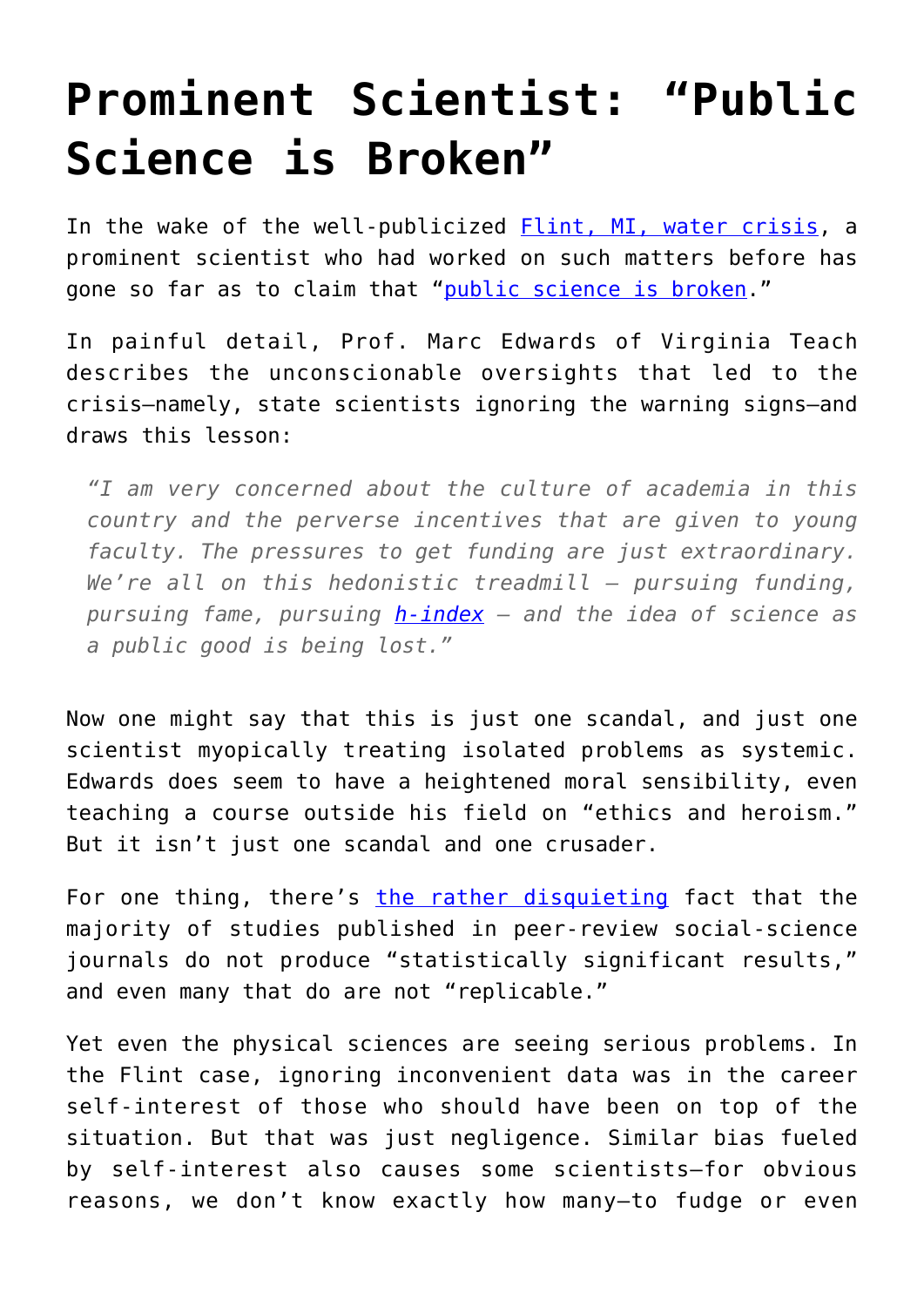## **[Prominent Scientist: "Public](https://intellectualtakeout.org/2016/02/prominent-scientist-public-science-is-broken/) [Science is Broken"](https://intellectualtakeout.org/2016/02/prominent-scientist-public-science-is-broken/)**

In the wake of the well-publicized [Flint, MI, water crisis,](http://www.nytimes.com/interactive/2016/01/21/us/flint-lead-water-timeline.html) a prominent scientist who had worked on such matters before has gone so far as to claim that ["public science is broken](http://chronicle.com/article/The-Water-Next-Time-Professor/235136)."

In painful detail, Prof. Marc Edwards of Virginia Teach describes the unconscionable oversights that led to the crisis—namely, state scientists ignoring the warning signs—and draws this lesson:

*"I am very concerned about the culture of academia in this country and the perverse incentives that are given to young faculty. The pressures to get funding are just extraordinary. We're all on this hedonistic treadmill — pursuing funding, pursuing fame, pursuing [h-index](https://en.wikipedia.org/wiki/H-index) — and the idea of science as a public good is being lost."*

Now one might say that this is just one scandal, and just one scientist myopically treating isolated problems as systemic. Edwards does seem to have a heightened moral sensibility, even teaching a course outside his field on "ethics and heroism." But it isn't just one scandal and one crusader.

For one thing, there's [the rather disquieting](http://takimag.com/article/plaques_for_blacks_steve_sailer/print#axzz413Iv78mO) fact that the majority of studies published in peer-review social-science journals do not produce "statistically significant results," and even many that do are not "replicable."

Yet even the physical sciences are seeing serious problems. In the Flint case, ignoring inconvenient data was in the career self-interest of those who should have been on top of the situation. But that was just negligence. Similar bias fueled by self-interest also causes some scientists—for obvious reasons, we don't know exactly how many—to fudge or even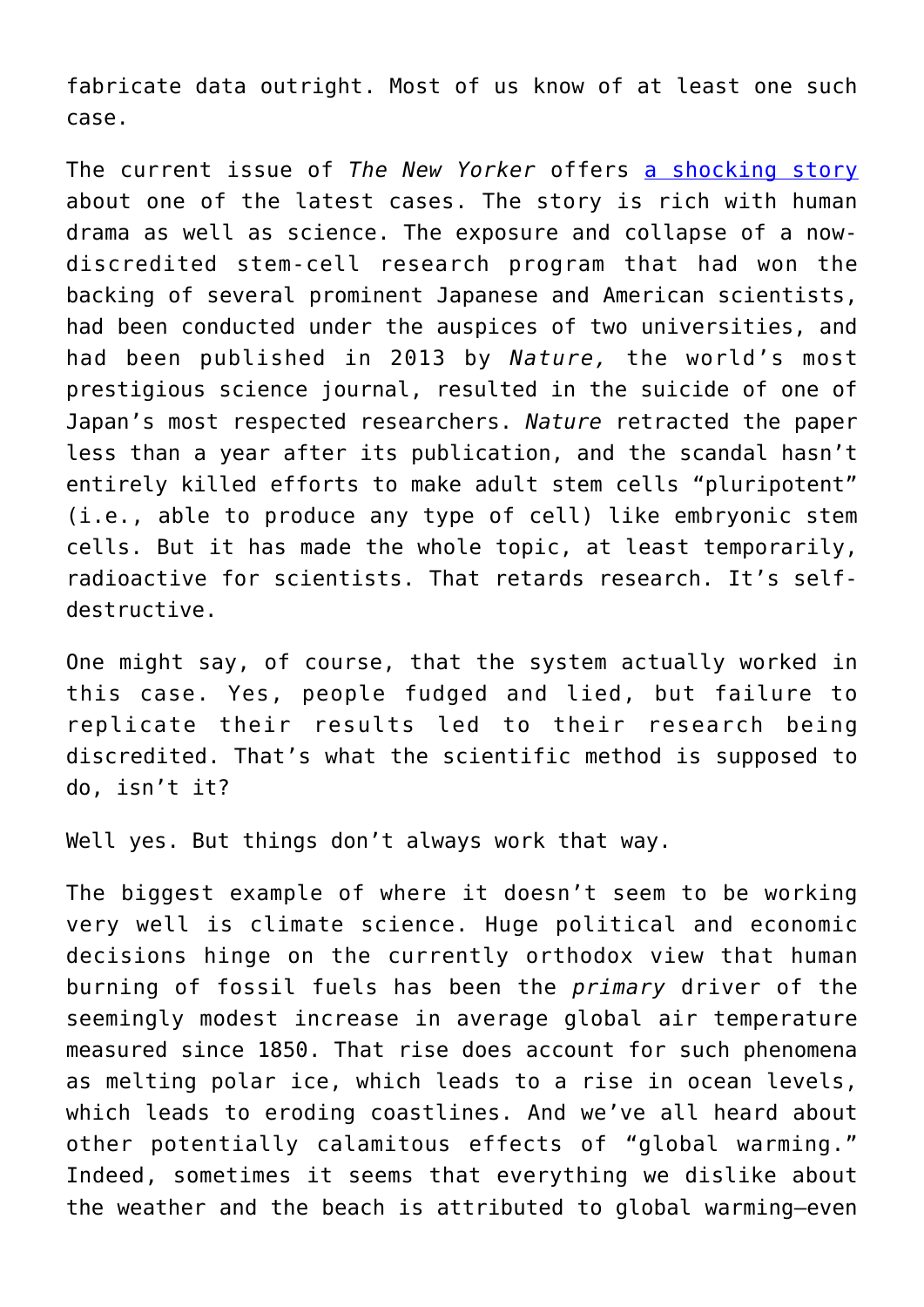fabricate data outright. Most of us know of at least one such case.

The current issue of *The New Yorker* offers [a shocking story](http://www.newyorker.com/magazine/2016/02/29/the-stem-cell-scandal) about one of the latest cases. The story is rich with human drama as well as science. The exposure and collapse of a nowdiscredited stem-cell research program that had won the backing of several prominent Japanese and American scientists, had been conducted under the auspices of two universities, and had been published in 2013 by *Nature,* the world's most prestigious science journal, resulted in the suicide of one of Japan's most respected researchers. *Nature* retracted the paper less than a year after its publication, and the scandal hasn't entirely killed efforts to make adult stem cells "pluripotent" (i.e., able to produce any type of cell) like embryonic stem cells. But it has made the whole topic, at least temporarily, radioactive for scientists. That retards research. It's selfdestructive.

One might say, of course, that the system actually worked in this case. Yes, people fudged and lied, but failure to replicate their results led to their research being discredited. That's what the scientific method is supposed to do, isn't it?

Well yes. But things don't always work that way.

The biggest example of where it doesn't seem to be working very well is climate science. Huge political and economic decisions hinge on the currently orthodox view that human burning of fossil fuels has been the *primary* driver of the seemingly modest increase in average global air temperature measured since 1850. That rise does account for such phenomena as melting polar ice, which leads to a rise in ocean levels, which leads to eroding coastlines. And we've all heard about other potentially calamitous effects of "global warming." Indeed, sometimes it seems that everything we dislike about the weather and the beach is attributed to global warming—even